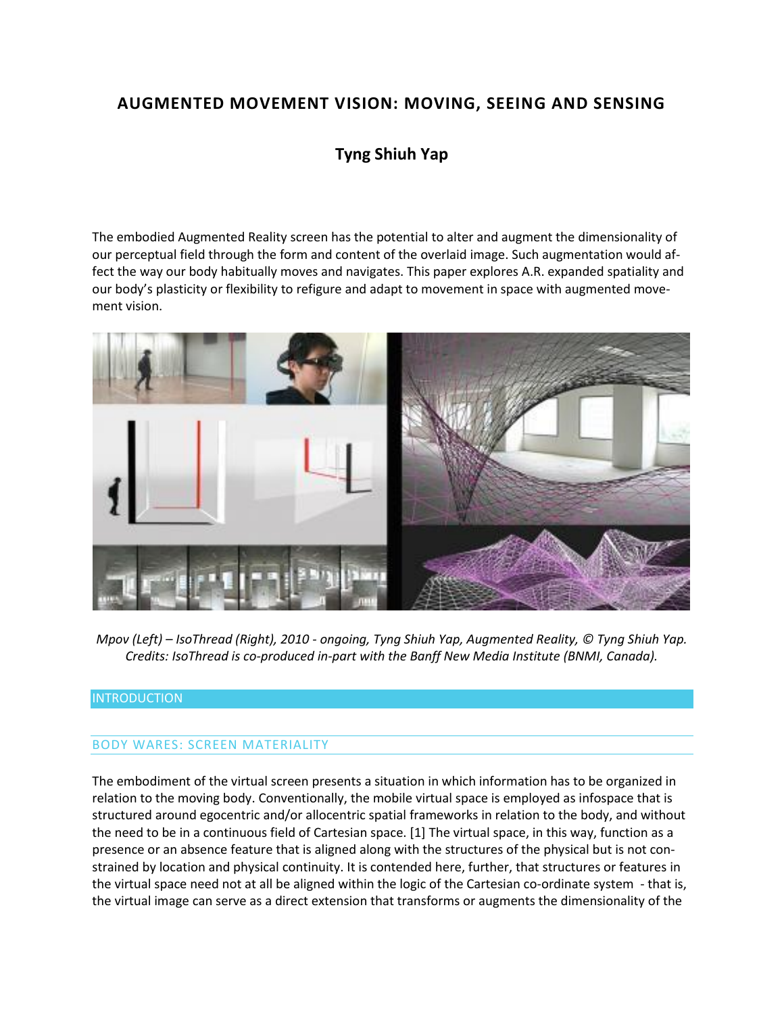# **AUGMENTED MOVEMENT VISION: MOVING, SEEING AND SENSING**

# **Tyng Shiuh Yap**

The embodied Augmented Reality screen has the potential to alter and augment the dimensionality of our perceptual field through the form and content of the overlaid image. Such augmentation would affect the way our body habitually moves and navigates. This paper explores A.R. expanded spatiality and our body's plasticity or flexibility to refigure and adapt to movement in space with augmented movement vision.



*Mpov (Left) – IsoThread (Right), 2010 - ongoing, Tyng Shiuh Yap, Augmented Reality, © Tyng Shiuh Yap. Credits: IsoThread is co-produced in-part with the Banff New Media Institute (BNMI, Canada).*

### INTRODUCTION

#### BODY WARES: SCREEN MATERIALITY

The embodiment of the virtual screen presents a situation in which information has to be organized in relation to the moving body. Conventionally, the mobile virtual space is employed as infospace that is structured around egocentric and/or allocentric spatial frameworks in relation to the body, and without the need to be in a continuous field of Cartesian space. [1] The virtual space, in this way, function as a presence or an absence feature that is aligned along with the structures of the physical but is not constrained by location and physical continuity. It is contended here, further, that structures or features in the virtual space need not at all be aligned within the logic of the Cartesian co-ordinate system - that is, the virtual image can serve as a direct extension that transforms or augments the dimensionality of the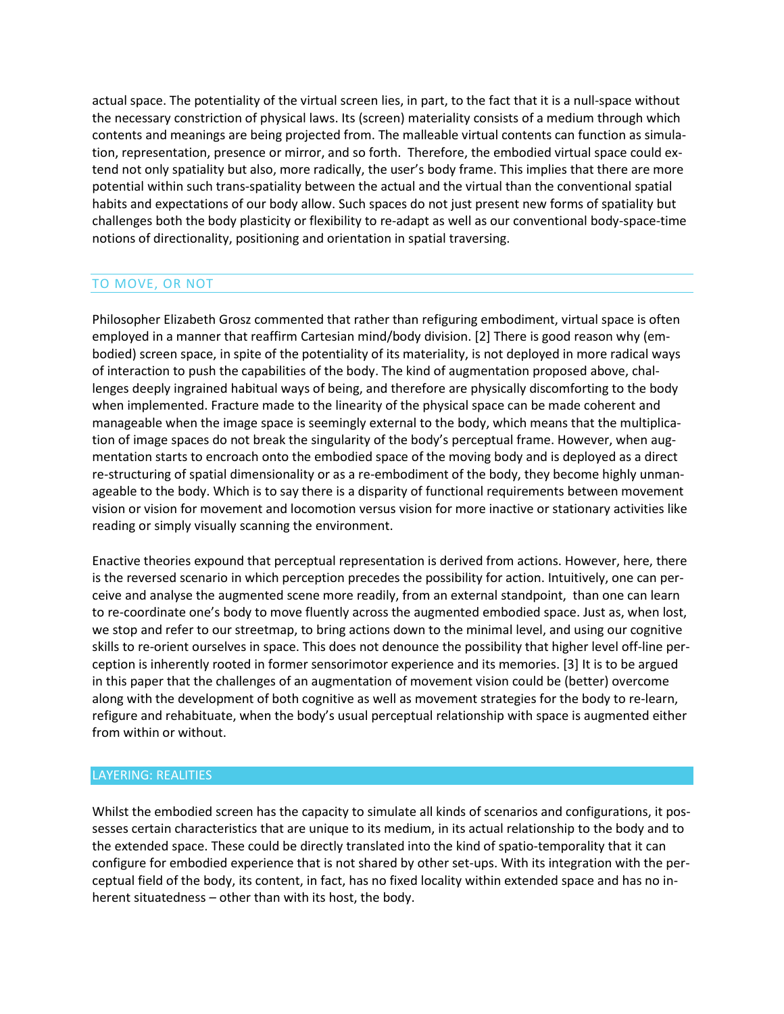actual space. The potentiality of the virtual screen lies, in part, to the fact that it is a null-space without the necessary constriction of physical laws. Its (screen) materiality consists of a medium through which contents and meanings are being projected from. The malleable virtual contents can function as simulation, representation, presence or mirror, and so forth. Therefore, the embodied virtual space could extend not only spatiality but also, more radically, the user's body frame. This implies that there are more potential within such trans-spatiality between the actual and the virtual than the conventional spatial habits and expectations of our body allow. Such spaces do not just present new forms of spatiality but challenges both the body plasticity or flexibility to re-adapt as well as our conventional body-space-time notions of directionality, positioning and orientation in spatial traversing.

### TO MOVE, OR NOT

Philosopher Elizabeth Grosz commented that rather than refiguring embodiment, virtual space is often employed in a manner that reaffirm Cartesian mind/body division. [2] There is good reason why (embodied) screen space, in spite of the potentiality of its materiality, is not deployed in more radical ways of interaction to push the capabilities of the body. The kind of augmentation proposed above, challenges deeply ingrained habitual ways of being, and therefore are physically discomforting to the body when implemented. Fracture made to the linearity of the physical space can be made coherent and manageable when the image space is seemingly external to the body, which means that the multiplication of image spaces do not break the singularity of the body's perceptual frame. However, when augmentation starts to encroach onto the embodied space of the moving body and is deployed as a direct re-structuring of spatial dimensionality or as a re-embodiment of the body, they become highly unmanageable to the body. Which is to say there is a disparity of functional requirements between movement vision or vision for movement and locomotion versus vision for more inactive or stationary activities like reading or simply visually scanning the environment.

Enactive theories expound that perceptual representation is derived from actions. However, here, there is the reversed scenario in which perception precedes the possibility for action. Intuitively, one can perceive and analyse the augmented scene more readily, from an external standpoint, than one can learn to re-coordinate one's body to move fluently across the augmented embodied space. Just as, when lost, we stop and refer to our streetmap, to bring actions down to the minimal level, and using our cognitive skills to re-orient ourselves in space. This does not denounce the possibility that higher level off-line perception is inherently rooted in former sensorimotor experience and its memories. [3] It is to be argued in this paper that the challenges of an augmentation of movement vision could be (better) overcome along with the development of both cognitive as well as movement strategies for the body to re-learn, refigure and rehabituate, when the body's usual perceptual relationship with space is augmented either from within or without.

#### LAYERING: REALITIES

Whilst the embodied screen has the capacity to simulate all kinds of scenarios and configurations, it possesses certain characteristics that are unique to its medium, in its actual relationship to the body and to the extended space. These could be directly translated into the kind of spatio-temporality that it can configure for embodied experience that is not shared by other set-ups. With its integration with the perceptual field of the body, its content, in fact, has no fixed locality within extended space and has no inherent situatedness – other than with its host, the body.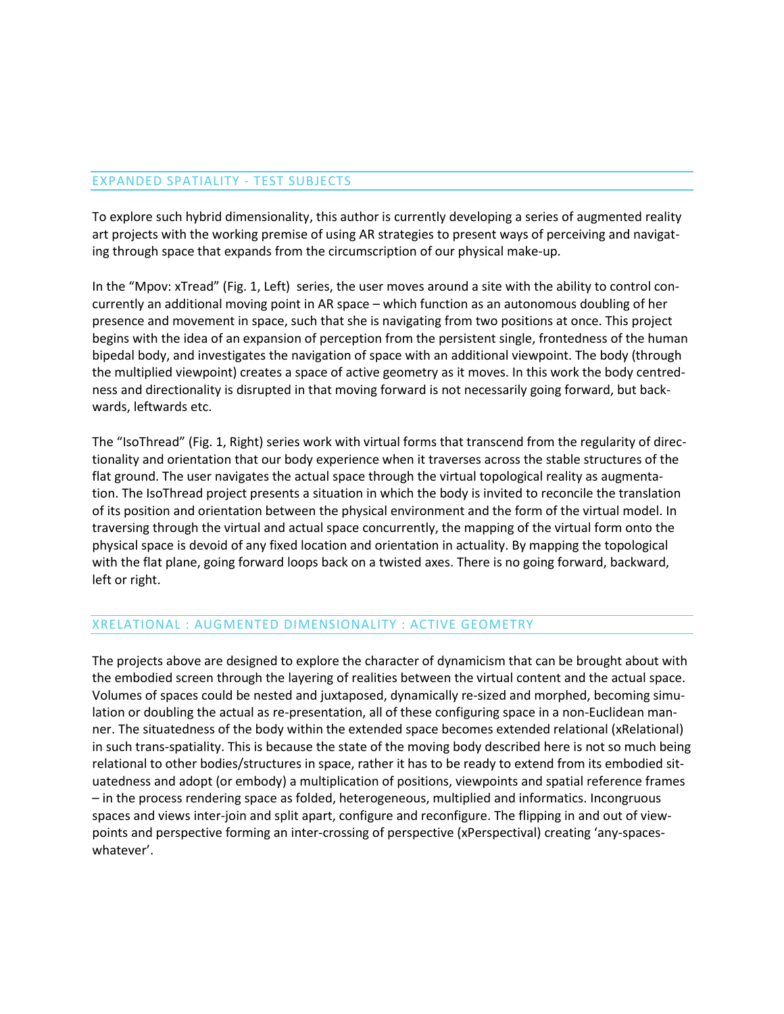### EXPANDED SPATIALITY - TEST SUBJECTS

To explore such hybrid dimensionality, this author is currently developing a series of augmented reality art projects with the working premise of using AR strategies to present ways of perceiving and navigating through space that expands from the circumscription of our physical make-up.

In the "Mpov: xTread" (Fig. 1, Left) series, the user moves around a site with the ability to control concurrently an additional moving point in AR space – which function as an autonomous doubling of her presence and movement in space, such that she is navigating from two positions at once. This project begins with the idea of an expansion of perception from the persistent single, frontedness of the human bipedal body, and investigates the navigation of space with an additional viewpoint. The body (through the multiplied viewpoint) creates a space of active geometry as it moves. In this work the body centredness and directionality is disrupted in that moving forward is not necessarily going forward, but backwards, leftwards etc.

The "IsoThread" (Fig. 1, Right) series work with virtual forms that transcend from the regularity of directionality and orientation that our body experience when it traverses across the stable structures of the flat ground. The user navigates the actual space through the virtual topological reality as augmentation. The IsoThread project presents a situation in which the body is invited to reconcile the translation of its position and orientation between the physical environment and the form of the virtual model. In traversing through the virtual and actual space concurrently, the mapping of the virtual form onto the physical space is devoid of any fixed location and orientation in actuality. By mapping the topological with the flat plane, going forward loops back on a twisted axes. There is no going forward, backward, left or right.

#### XRELATIONAL : AUGMENTED DIMENSIONALITY : ACTIVE GEOMETRY

The projects above are designed to explore the character of dynamicism that can be brought about with the embodied screen through the layering of realities between the virtual content and the actual space. Volumes of spaces could be nested and juxtaposed, dynamically re-sized and morphed, becoming simulation or doubling the actual as re-presentation, all of these configuring space in a non-Euclidean manner. The situatedness of the body within the extended space becomes extended relational (xRelational) in such trans-spatiality. This is because the state of the moving body described here is not so much being relational to other bodies/structures in space, rather it has to be ready to extend from its embodied situatedness and adopt (or embody) a multiplication of positions, viewpoints and spatial reference frames – in the process rendering space as folded, heterogeneous, multiplied and informatics. Incongruous spaces and views inter-join and split apart, configure and reconfigure. The flipping in and out of viewpoints and perspective forming an inter-crossing of perspective (xPerspectival) creating 'any-spaceswhatever'.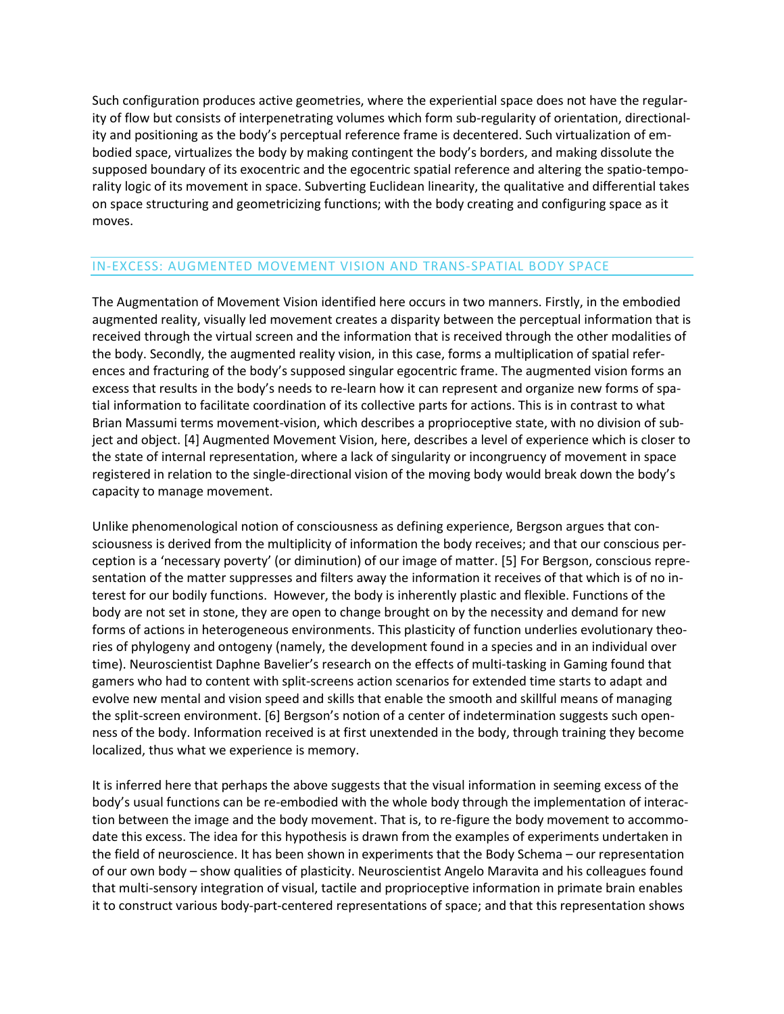Such configuration produces active geometries, where the experiential space does not have the regularity of flow but consists of interpenetrating volumes which form sub-regularity of orientation, directionality and positioning as the body's perceptual reference frame is decentered. Such virtualization of embodied space, virtualizes the body by making contingent the body's borders, and making dissolute the supposed boundary of its exocentric and the egocentric spatial reference and altering the spatio-temporality logic of its movement in space. Subverting Euclidean linearity, the qualitative and differential takes on space structuring and geometricizing functions; with the body creating and configuring space as it moves.

## IN-EXCESS: AUGMENTED MOVEMENT VISION AND TRANS-SPATIAL BODY SPACE

The Augmentation of Movement Vision identified here occurs in two manners. Firstly, in the embodied augmented reality, visually led movement creates a disparity between the perceptual information that is received through the virtual screen and the information that is received through the other modalities of the body. Secondly, the augmented reality vision, in this case, forms a multiplication of spatial references and fracturing of the body's supposed singular egocentric frame. The augmented vision forms an excess that results in the body's needs to re-learn how it can represent and organize new forms of spatial information to facilitate coordination of its collective parts for actions. This is in contrast to what Brian Massumi terms movement-vision, which describes a proprioceptive state, with no division of subject and object. [4] Augmented Movement Vision, here, describes a level of experience which is closer to the state of internal representation, where a lack of singularity or incongruency of movement in space registered in relation to the single-directional vision of the moving body would break down the body's capacity to manage movement.

Unlike phenomenological notion of consciousness as defining experience, Bergson argues that consciousness is derived from the multiplicity of information the body receives; and that our conscious perception is a 'necessary poverty' (or diminution) of our image of matter. [5] For Bergson, conscious representation of the matter suppresses and filters away the information it receives of that which is of no interest for our bodily functions. However, the body is inherently plastic and flexible. Functions of the body are not set in stone, they are open to change brought on by the necessity and demand for new forms of actions in heterogeneous environments. This plasticity of function underlies evolutionary theories of phylogeny and ontogeny (namely, the development found in a species and in an individual over time). Neuroscientist Daphne Bavelier's research on the effects of multi-tasking in Gaming found that gamers who had to content with split-screens action scenarios for extended time starts to adapt and evolve new mental and vision speed and skills that enable the smooth and skillful means of managing the split-screen environment. [6] Bergson's notion of a center of indetermination suggests such openness of the body. Information received is at first unextended in the body, through training they become localized, thus what we experience is memory.

It is inferred here that perhaps the above suggests that the visual information in seeming excess of the body's usual functions can be re-embodied with the whole body through the implementation of interaction between the image and the body movement. That is, to re-figure the body movement to accommodate this excess. The idea for this hypothesis is drawn from the examples of experiments undertaken in the field of neuroscience. It has been shown in experiments that the Body Schema – our representation of our own body – show qualities of plasticity. Neuroscientist Angelo Maravita and his colleagues found that multi-sensory integration of visual, tactile and proprioceptive information in primate brain enables it to construct various body-part-centered representations of space; and that this representation shows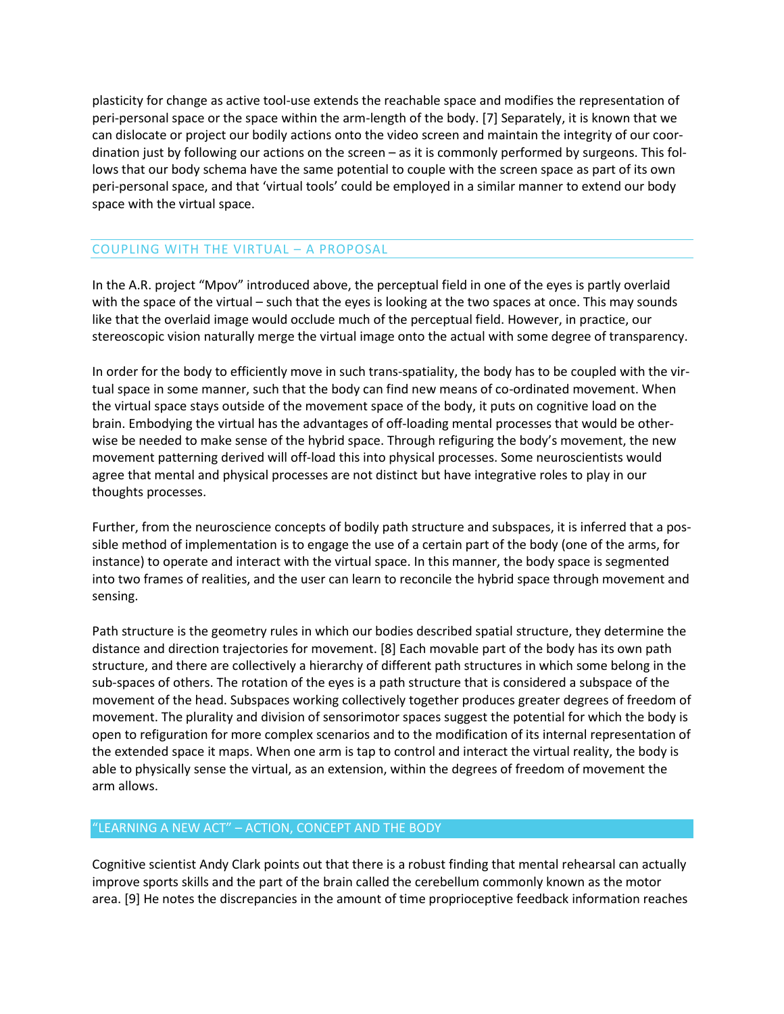plasticity for change as active tool-use extends the reachable space and modifies the representation of peri-personal space or the space within the arm-length of the body. [7] Separately, it is known that we can dislocate or project our bodily actions onto the video screen and maintain the integrity of our coordination just by following our actions on the screen – as it is commonly performed by surgeons. This follows that our body schema have the same potential to couple with the screen space as part of its own peri-personal space, and that 'virtual tools' could be employed in a similar manner to extend our body space with the virtual space.

### COUPLING WITH THE VIRTUAL – A PROPOSAL

In the A.R. project "Mpov" introduced above, the perceptual field in one of the eyes is partly overlaid with the space of the virtual – such that the eyes is looking at the two spaces at once. This may sounds like that the overlaid image would occlude much of the perceptual field. However, in practice, our stereoscopic vision naturally merge the virtual image onto the actual with some degree of transparency.

In order for the body to efficiently move in such trans-spatiality, the body has to be coupled with the virtual space in some manner, such that the body can find new means of co-ordinated movement. When the virtual space stays outside of the movement space of the body, it puts on cognitive load on the brain. Embodying the virtual has the advantages of off-loading mental processes that would be otherwise be needed to make sense of the hybrid space. Through refiguring the body's movement, the new movement patterning derived will off-load this into physical processes. Some neuroscientists would agree that mental and physical processes are not distinct but have integrative roles to play in our thoughts processes.

Further, from the neuroscience concepts of bodily path structure and subspaces, it is inferred that a possible method of implementation is to engage the use of a certain part of the body (one of the arms, for instance) to operate and interact with the virtual space. In this manner, the body space is segmented into two frames of realities, and the user can learn to reconcile the hybrid space through movement and sensing.

Path structure is the geometry rules in which our bodies described spatial structure, they determine the distance and direction trajectories for movement. [8] Each movable part of the body has its own path structure, and there are collectively a hierarchy of different path structures in which some belong in the sub-spaces of others. The rotation of the eyes is a path structure that is considered a subspace of the movement of the head. Subspaces working collectively together produces greater degrees of freedom of movement. The plurality and division of sensorimotor spaces suggest the potential for which the body is open to refiguration for more complex scenarios and to the modification of its internal representation of the extended space it maps. When one arm is tap to control and interact the virtual reality, the body is able to physically sense the virtual, as an extension, within the degrees of freedom of movement the arm allows.

### "LEARNING A NEW ACT" – ACTION, CONCEPT AND THE BODY

Cognitive scientist Andy Clark points out that there is a robust finding that mental rehearsal can actually improve sports skills and the part of the brain called the cerebellum commonly known as the motor area. [9] He notes the discrepancies in the amount of time proprioceptive feedback information reaches